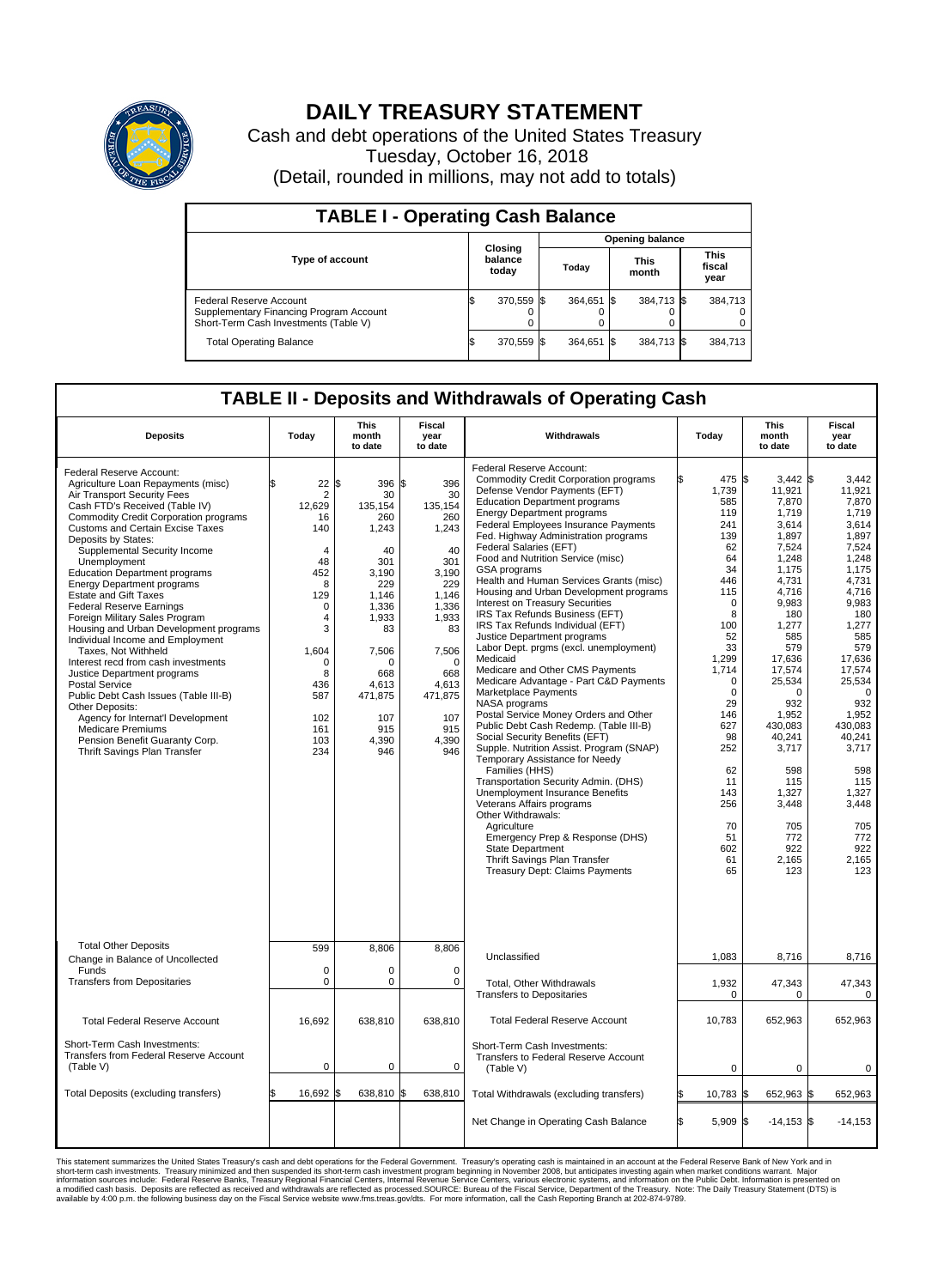

## **DAILY TREASURY STATEMENT**

Cash and debt operations of the United States Treasury Tuesday, October 16, 2018 (Detail, rounded in millions, may not add to totals)

| <b>TABLE I - Operating Cash Balance</b>                                                                     |                             |            |                        |            |                      |            |  |                               |  |  |  |
|-------------------------------------------------------------------------------------------------------------|-----------------------------|------------|------------------------|------------|----------------------|------------|--|-------------------------------|--|--|--|
|                                                                                                             | Closing<br>balance<br>today |            | <b>Opening balance</b> |            |                      |            |  |                               |  |  |  |
| Type of account                                                                                             |                             |            | Today                  |            | <b>This</b><br>month |            |  | <b>This</b><br>fiscal<br>year |  |  |  |
| Federal Reserve Account<br>Supplementary Financing Program Account<br>Short-Term Cash Investments (Table V) |                             | 370,559 \$ |                        | 364.651 \$ |                      | 384,713 \$ |  | 384,713                       |  |  |  |
| <b>Total Operating Balance</b>                                                                              | ß.                          | 370,559 \$ |                        | 364,651 \$ |                      | 384,713 \$ |  | 384,713                       |  |  |  |

## **TABLE II - Deposits and Withdrawals of Operating Cash**

| <b>Deposits</b>                                                                                                                                                                                                                                                                                                                                                                                                                                                                                                                                                                                                                                                                                                                                                                                                                                                                        | Today                                                                                                                                                                                       | <b>This</b><br>month<br>to date                                                                                                                                                  | <b>Fiscal</b><br>year<br>to date                                                                                                                                                       | Withdrawals                                                                                                                                                                                                                                                                                                                                                                                                                                                                                                                                                                                                                                                                                                                                                                                                                                                                                                                                                                                                                                                                                                                                                                                                                                                             | Today                                                                                                                                                                                                                                                     | <b>This</b><br>month<br>to date                                                                                                                                                                                                                                                                    | <b>Fiscal</b><br>year<br>to date                                                                                                                                                                                                                                                                        |  |  |
|----------------------------------------------------------------------------------------------------------------------------------------------------------------------------------------------------------------------------------------------------------------------------------------------------------------------------------------------------------------------------------------------------------------------------------------------------------------------------------------------------------------------------------------------------------------------------------------------------------------------------------------------------------------------------------------------------------------------------------------------------------------------------------------------------------------------------------------------------------------------------------------|---------------------------------------------------------------------------------------------------------------------------------------------------------------------------------------------|----------------------------------------------------------------------------------------------------------------------------------------------------------------------------------|----------------------------------------------------------------------------------------------------------------------------------------------------------------------------------------|-------------------------------------------------------------------------------------------------------------------------------------------------------------------------------------------------------------------------------------------------------------------------------------------------------------------------------------------------------------------------------------------------------------------------------------------------------------------------------------------------------------------------------------------------------------------------------------------------------------------------------------------------------------------------------------------------------------------------------------------------------------------------------------------------------------------------------------------------------------------------------------------------------------------------------------------------------------------------------------------------------------------------------------------------------------------------------------------------------------------------------------------------------------------------------------------------------------------------------------------------------------------------|-----------------------------------------------------------------------------------------------------------------------------------------------------------------------------------------------------------------------------------------------------------|----------------------------------------------------------------------------------------------------------------------------------------------------------------------------------------------------------------------------------------------------------------------------------------------------|---------------------------------------------------------------------------------------------------------------------------------------------------------------------------------------------------------------------------------------------------------------------------------------------------------|--|--|
| Federal Reserve Account:<br>Agriculture Loan Repayments (misc)<br>Air Transport Security Fees<br>Cash FTD's Received (Table IV)<br><b>Commodity Credit Corporation programs</b><br><b>Customs and Certain Excise Taxes</b><br>Deposits by States:<br>Supplemental Security Income<br>Unemployment<br><b>Education Department programs</b><br><b>Energy Department programs</b><br><b>Estate and Gift Taxes</b><br><b>Federal Reserve Earnings</b><br>Foreign Military Sales Program<br>Housing and Urban Development programs<br>Individual Income and Employment<br>Taxes. Not Withheld<br>Interest recd from cash investments<br>Justice Department programs<br><b>Postal Service</b><br>Public Debt Cash Issues (Table III-B)<br>Other Deposits:<br>Agency for Internat'l Development<br><b>Medicare Premiums</b><br>Pension Benefit Guaranty Corp.<br>Thrift Savings Plan Transfer | 22<br>ፍ<br>$\overline{2}$<br>12.629<br>16<br>140<br>$\overline{4}$<br>48<br>452<br>8<br>129<br>$\mathbf 0$<br>4<br>3<br>1,604<br>$\mathbf 0$<br>8<br>436<br>587<br>102<br>161<br>103<br>234 | 1\$<br>396<br>30<br>135.154<br>260<br>1,243<br>40<br>301<br>3,190<br>229<br>1,146<br>1,336<br>1,933<br>83<br>7,506<br>n<br>668<br>4,613<br>471,875<br>107<br>915<br>4.390<br>946 | \$<br>396<br>30<br>135.154<br>260<br>1,243<br>40<br>301<br>3,190<br>229<br>1,146<br>1,336<br>1,933<br>83<br>7,506<br>$\Omega$<br>668<br>4,613<br>471,875<br>107<br>915<br>4.390<br>946 | Federal Reserve Account:<br><b>Commodity Credit Corporation programs</b><br>Defense Vendor Payments (EFT)<br><b>Education Department programs</b><br><b>Energy Department programs</b><br>Federal Employees Insurance Payments<br>Fed. Highway Administration programs<br>Federal Salaries (EFT)<br>Food and Nutrition Service (misc)<br>GSA programs<br>Health and Human Services Grants (misc)<br>Housing and Urban Development programs<br>Interest on Treasury Securities<br>IRS Tax Refunds Business (EFT)<br>IRS Tax Refunds Individual (EFT)<br>Justice Department programs<br>Labor Dept. prgms (excl. unemployment)<br>Medicaid<br>Medicare and Other CMS Payments<br>Medicare Advantage - Part C&D Payments<br>Marketplace Payments<br>NASA programs<br>Postal Service Money Orders and Other<br>Public Debt Cash Redemp. (Table III-B)<br>Social Security Benefits (EFT)<br>Supple. Nutrition Assist. Program (SNAP)<br>Temporary Assistance for Needy<br>Families (HHS)<br>Transportation Security Admin. (DHS)<br>Unemployment Insurance Benefits<br>Veterans Affairs programs<br>Other Withdrawals:<br>Agriculture<br>Emergency Prep & Response (DHS)<br><b>State Department</b><br>Thrift Savings Plan Transfer<br><b>Treasury Dept: Claims Payments</b> | 475 \$<br>1,739<br>585<br>119<br>241<br>139<br>62<br>64<br>34<br>446<br>115<br>$\mathbf 0$<br>8<br>100<br>52<br>33<br>1,299<br>1,714<br>$\Omega$<br>$\mathbf 0$<br>29<br>146<br>627<br>98<br>252<br>62<br>11<br>143<br>256<br>70<br>51<br>602<br>61<br>65 | $3,442$ \$<br>11,921<br>7,870<br>1,719<br>3,614<br>1,897<br>7,524<br>1,248<br>1,175<br>4,731<br>4.716<br>9,983<br>180<br>1,277<br>585<br>579<br>17,636<br>17,574<br>25,534<br>0<br>932<br>1,952<br>430,083<br>40,241<br>3,717<br>598<br>115<br>1.327<br>3,448<br>705<br>772<br>922<br>2.165<br>123 | 3,442<br>11,921<br>7,870<br>1.719<br>3.614<br>1,897<br>7,524<br>1,248<br>1,175<br>4,731<br>4.716<br>9,983<br>180<br>1,277<br>585<br>579<br>17,636<br>17,574<br>25,534<br>$\mathbf 0$<br>932<br>1,952<br>430,083<br>40.241<br>3,717<br>598<br>115<br>1.327<br>3,448<br>705<br>772<br>922<br>2,165<br>123 |  |  |
| <b>Total Other Deposits</b><br>Change in Balance of Uncollected                                                                                                                                                                                                                                                                                                                                                                                                                                                                                                                                                                                                                                                                                                                                                                                                                        | 599                                                                                                                                                                                         | 8,806                                                                                                                                                                            | 8,806                                                                                                                                                                                  | Unclassified                                                                                                                                                                                                                                                                                                                                                                                                                                                                                                                                                                                                                                                                                                                                                                                                                                                                                                                                                                                                                                                                                                                                                                                                                                                            | 1,083                                                                                                                                                                                                                                                     | 8,716                                                                                                                                                                                                                                                                                              | 8,716                                                                                                                                                                                                                                                                                                   |  |  |
| Funds<br><b>Transfers from Depositaries</b>                                                                                                                                                                                                                                                                                                                                                                                                                                                                                                                                                                                                                                                                                                                                                                                                                                            | $\mathbf 0$<br>$\mathbf 0$                                                                                                                                                                  | 0<br>0                                                                                                                                                                           | $\mathbf 0$<br>$\mathbf 0$                                                                                                                                                             | Total, Other Withdrawals<br><b>Transfers to Depositaries</b>                                                                                                                                                                                                                                                                                                                                                                                                                                                                                                                                                                                                                                                                                                                                                                                                                                                                                                                                                                                                                                                                                                                                                                                                            | 1,932<br>0                                                                                                                                                                                                                                                | 47,343<br>0                                                                                                                                                                                                                                                                                        | 47,343<br>0                                                                                                                                                                                                                                                                                             |  |  |
| <b>Total Federal Reserve Account</b>                                                                                                                                                                                                                                                                                                                                                                                                                                                                                                                                                                                                                                                                                                                                                                                                                                                   | 16,692                                                                                                                                                                                      | 638,810                                                                                                                                                                          | 638,810                                                                                                                                                                                | <b>Total Federal Reserve Account</b>                                                                                                                                                                                                                                                                                                                                                                                                                                                                                                                                                                                                                                                                                                                                                                                                                                                                                                                                                                                                                                                                                                                                                                                                                                    | 10,783                                                                                                                                                                                                                                                    | 652,963                                                                                                                                                                                                                                                                                            | 652,963                                                                                                                                                                                                                                                                                                 |  |  |
| Short-Term Cash Investments:<br>Transfers from Federal Reserve Account<br>(Table V)                                                                                                                                                                                                                                                                                                                                                                                                                                                                                                                                                                                                                                                                                                                                                                                                    | $\mathbf 0$                                                                                                                                                                                 | $\mathbf 0$                                                                                                                                                                      | $\mathbf 0$                                                                                                                                                                            | Short-Term Cash Investments:<br>Transfers to Federal Reserve Account<br>(Table V)                                                                                                                                                                                                                                                                                                                                                                                                                                                                                                                                                                                                                                                                                                                                                                                                                                                                                                                                                                                                                                                                                                                                                                                       | $\mathbf 0$                                                                                                                                                                                                                                               | $\mathbf 0$                                                                                                                                                                                                                                                                                        | 0                                                                                                                                                                                                                                                                                                       |  |  |
| Total Deposits (excluding transfers)                                                                                                                                                                                                                                                                                                                                                                                                                                                                                                                                                                                                                                                                                                                                                                                                                                                   | 16.692                                                                                                                                                                                      | 638,810 \$                                                                                                                                                                       | 638,810                                                                                                                                                                                | Total Withdrawals (excluding transfers)                                                                                                                                                                                                                                                                                                                                                                                                                                                                                                                                                                                                                                                                                                                                                                                                                                                                                                                                                                                                                                                                                                                                                                                                                                 | 10,783 \$                                                                                                                                                                                                                                                 | 652,963 \$                                                                                                                                                                                                                                                                                         | 652,963                                                                                                                                                                                                                                                                                                 |  |  |
|                                                                                                                                                                                                                                                                                                                                                                                                                                                                                                                                                                                                                                                                                                                                                                                                                                                                                        |                                                                                                                                                                                             |                                                                                                                                                                                  |                                                                                                                                                                                        | Net Change in Operating Cash Balance                                                                                                                                                                                                                                                                                                                                                                                                                                                                                                                                                                                                                                                                                                                                                                                                                                                                                                                                                                                                                                                                                                                                                                                                                                    | Ŝ.<br>$5.909$ \$                                                                                                                                                                                                                                          | $-14,153$ \$                                                                                                                                                                                                                                                                                       | $-14,153$                                                                                                                                                                                                                                                                                               |  |  |

This statement summarizes the United States Treasury's cash and debt operations for the Federal Government. Treasury's operating in November 2008, but anticingates investment summarket conditions warrant. Major<br>short-term